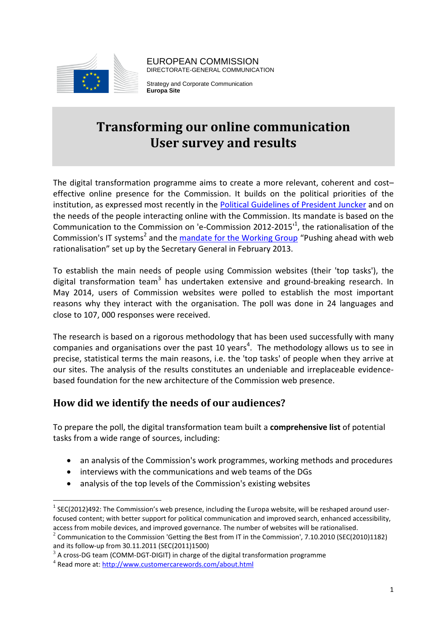

EUROPEAN COMMISSION DIRECTORATE-GENERAL COMMUNICATION

Strategy and Corporate Communication **Europa Site**

# **Transforming our online communication User survey and results**

The digital transformation programme aims to create a more relevant, coherent and cost– effective online presence for the Commission. It builds on the political priorities of the institution, as expressed most recently in the [Political Guidelines of President Juncker](http://ec.europa.eu/about/juncker-commission/docs/pg_en.pdf) and on the needs of the people interacting online with the Commission. Its mandate is based on the Communication to the Commission on 'e-Commission 2012-2015 $^1$ , the rationalisation of the Commission's IT systems<sup>2</sup> and the *mandate for the Working Group* "Pushing ahead with web rationalisation" set up by the Secretary General in February 2013.

To establish the main needs of people using Commission websites (their 'top tasks'), the digital transformation team<sup>3</sup> has undertaken extensive and ground-breaking research. In May 2014, users of Commission websites were polled to establish the most important reasons why they interact with the organisation. The poll was done in 24 languages and close to 107, 000 responses were received.

The research is based on a rigorous methodology that has been used successfully with many companies and organisations over the past 10 years<sup>4</sup>. The methodology allows us to see in precise, statistical terms the main reasons, i.e. the 'top tasks' of people when they arrive at our sites. The analysis of the results constitutes an undeniable and irreplaceable evidencebased foundation for the new architecture of the Commission web presence.

# **How did we identify the needs of our audiences?**

To prepare the poll, the digital transformation team built a **comprehensive list** of potential tasks from a wide range of sources, including:

- an analysis of the Commission's work programmes, working methods and procedures
- interviews with the communications and web teams of the DGs
- analysis of the top levels of the Commission's existing websites

<u>.</u>

 $^1$  SEC(2012)492: The Commission's web presence, including the Europa website, will be reshaped around userfocused content; with better support for political communication and improved search, enhanced accessibility, access from mobile devices, and improved governance. The number of websites will be rationalised.

<sup>&</sup>lt;sup>2</sup> Communication to the Commission 'Getting the Best from IT in the Commission', 7.10.2010 (SEC(2010)1182) and its follow-up from 30.11.2011 (SEC(2011)1500)

 $^3$  A cross-DG team (COMM-DGT-DIGIT) in charge of the digital transformation programme

<sup>&</sup>lt;sup>4</sup> Read more at:<http://www.customercarewords.com/about.html>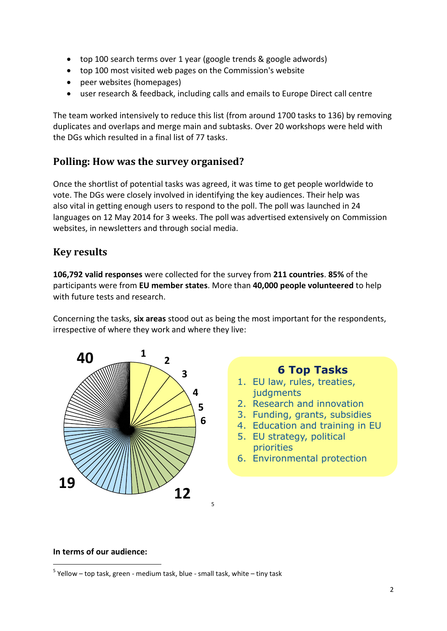- top 100 search terms over 1 year (google trends & google adwords)
- top 100 most visited web pages on the Commission's website
- peer websites (homepages)
- user research & feedback, including calls and emails to Europe Direct call centre

The team worked intensively to reduce this list (from around 1700 tasks to 136) by removing duplicates and overlaps and merge main and subtasks. Over 20 workshops were held with the DGs which resulted in a final list of 77 tasks.

# **Polling: How was the survey organised?**

Once the shortlist of potential tasks was agreed, it was time to get people worldwide to vote. The DGs were closely involved in identifying the key audiences. Their help was also vital in getting enough users to respond to the poll. The poll was launched in 24 languages on 12 May 2014 for 3 weeks. The poll was advertised extensively on Commission websites, in newsletters and through social media.

# **Key results**

**106,792 valid responses** were collected for the survey from **211 countries**. **85%** of the participants were from **EU member states**. More than **40,000 people volunteered** to help with future tests and research.

Concerning the tasks, **six areas** stood out as being the most important for the respondents, irrespective of where they work and where they live:



# **6 Top Tasks**

- 1. EU law, rules, treaties, judgments
- 2. Research and innovation
- 3. Funding, grants, subsidies
- 4. Education and training in EU
- 5. EU strategy, political priorities
- 6. Environmental protection

#### **In terms of our audience:**

1

<sup>&</sup>lt;sup>5</sup> Yellow – top task, green - medium task, blue - small task, white – tiny task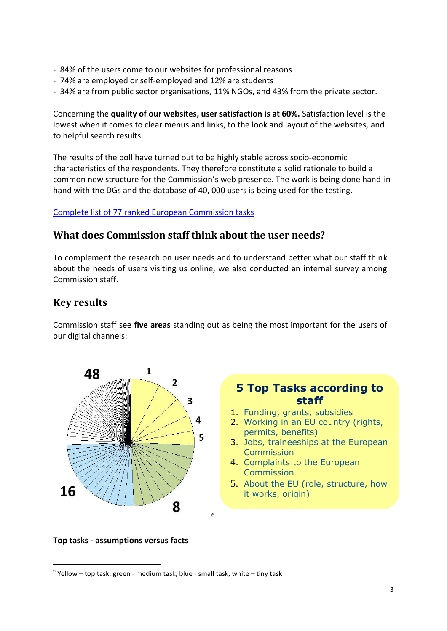- 84% of the users come to our websites for professional reasons
- 74% are employed or self-employed and 12% are students
- 34% are from public sector organisations, 11% NGOs, and 43% from the private sector.

Concerning the **quality of our websites, user satisfaction is at 60%.** Satisfaction level is the lowest when it comes to clear menus and links, to the look and layout of the websites, and to helpful search results.

The results of the poll have turned out to be highly stable across socio-economic characteristics of the respondents. They therefore constitute a solid rationale to build a common new structure for the Commission's web presence. The work is being done hand-inhand with the DGs and the database of 40, 000 users is being used for the testing.

### [Complete list of 77 ranked European Commission tasks](http://www.cc.cec/home/europa-info/basics/web_rationalisation/tasks/top_task_polling_results_en.htm)

## **What does Commission staff think about the user needs?**

To complement the research on user needs and to understand better what our staff think about the needs of users visiting us online, we also conducted an internal survey among Commission staff.

## **Key results**

Commission staff see **five areas** standing out as being the most important for the users of our digital channels:



# **5 Top Tasks according to staff**

- 1. Funding, grants, subsidies
- 2. Working in an EU country (rights, permits, benefits)
- 3. Jobs, traineeships at the European **Commission**
- 4. Complaints to the European **Commission**
- 5. About the EU (role, structure, how it works, origin)

#### **Top tasks - assumptions versus facts**

1

 $^6$  Yellow – top task, green - medium task, blue - small task, white – tiny task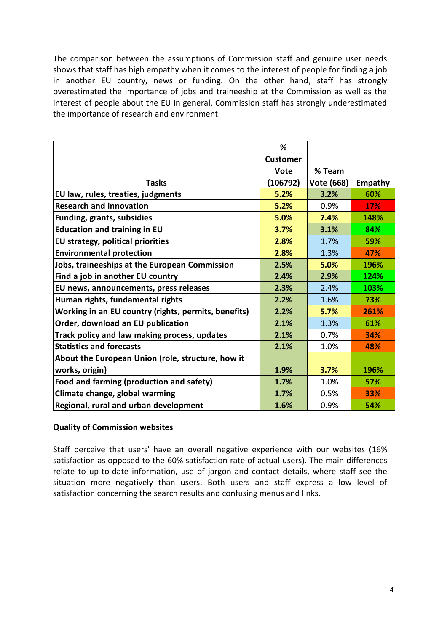The comparison between the assumptions of Commission staff and genuine user needs shows that staff has high empathy when it comes to the interest of people for finding a job in another EU country, news or funding. On the other hand, staff has strongly overestimated the importance of jobs and traineeship at the Commission as well as the interest of people about the EU in general. Commission staff has strongly underestimated the importance of research and environment.

| the importance of research and environment.          |                 |            |         |
|------------------------------------------------------|-----------------|------------|---------|
|                                                      |                 |            |         |
|                                                      |                 |            |         |
|                                                      | %               |            |         |
|                                                      | <b>Customer</b> |            |         |
|                                                      | <b>Vote</b>     | % Team     |         |
| <b>Tasks</b>                                         | (106792)        | Vote (668) | Empathy |
| EU law, rules, treaties, judgments                   | 5.2%            | 3.2%       | 60%     |
| <b>Research and innovation</b>                       | 5.2%            | 0.9%       | 17%     |
| <b>Funding, grants, subsidies</b>                    | 5.0%            | 7.4%       | 148%    |
| <b>Education and training in EU</b>                  | 3.7%            | 3.1%       | 84%     |
| <b>EU strategy, political priorities</b>             | 2.8%            | 1.7%       | 59%     |
| <b>Environmental protection</b>                      | 2.8%            | 1.3%       | 47%     |
| Jobs, traineeships at the European Commission        | 2.5%            | 5.0%       | 196%    |
| Find a job in another EU country                     | 2.4%            | 2.9%       | 124%    |
| EU news, announcements, press releases               | 2.3%            | 2.4%       | 103%    |
| Human rights, fundamental rights                     | 2.2%            | 1.6%       | 73%     |
| Working in an EU country (rights, permits, benefits) | 2.2%            | 5.7%       | 261%    |
| Order, download an EU publication                    | 2.1%            | 1.3%       | 61%     |
| Track policy and law making process, updates         | 2.1%            | 0.7%       | 34%     |
| <b>Statistics and forecasts</b>                      | 2.1%            | 1.0%       | 48%     |
| About the European Union (role, structure, how it    |                 |            |         |
| works, origin)                                       | 1.9%            | 3.7%       | 196%    |
| Food and farming (production and safety)             | 1.7%            | 1.0%       | 57%     |
| Climate change, global warming                       | 1.7%            | 0.5%       | 33%     |
| Regional, rural and urban development                | 1.6%            | 0.9%       | 54%     |

#### **Quality of Commission websites**

Staff perceive that users' have an overall negative experience with our websites (16% satisfaction as opposed to the 60% satisfaction rate of actual users). The main differences relate to up-to-date information, use of jargon and contact details, where staff see the situation more negatively than users. Both users and staff express a low level of satisfaction concerning the search results and confusing menus and links.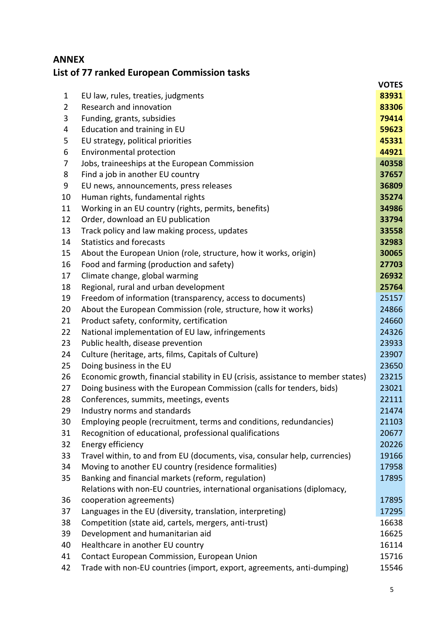# **ANNEX List of 77 ranked European Commission tasks**

|                |                                                                                  | <b>VOTES</b> |
|----------------|----------------------------------------------------------------------------------|--------------|
| $\mathbf 1$    | EU law, rules, treaties, judgments                                               | 83931        |
| $\overline{2}$ | Research and innovation                                                          | 83306        |
| 3              | Funding, grants, subsidies                                                       | 79414        |
| 4              | Education and training in EU                                                     | 59623        |
| 5              | EU strategy, political priorities                                                | 45331        |
| 6              | Environmental protection                                                         | 44921        |
| 7              | Jobs, traineeships at the European Commission                                    | 40358        |
| 8              | Find a job in another EU country                                                 | 37657        |
| 9              | EU news, announcements, press releases                                           | 36809        |
| 10             | Human rights, fundamental rights                                                 | 35274        |
| 11             | Working in an EU country (rights, permits, benefits)                             | 34986        |
| 12             | Order, download an EU publication                                                | 33794        |
| 13             | Track policy and law making process, updates                                     | 33558        |
| 14             | <b>Statistics and forecasts</b>                                                  | 32983        |
| 15             | About the European Union (role, structure, how it works, origin)                 | 30065        |
| 16             | Food and farming (production and safety)                                         | 27703        |
| 17             | Climate change, global warming                                                   | 26932        |
| 18             | Regional, rural and urban development                                            | 25764        |
| 19             | Freedom of information (transparency, access to documents)                       | 25157        |
| 20             | About the European Commission (role, structure, how it works)                    | 24866        |
| 21             | Product safety, conformity, certification                                        | 24660        |
| 22             | National implementation of EU law, infringements                                 | 24326        |
| 23             | Public health, disease prevention                                                | 23933        |
| 24             | Culture (heritage, arts, films, Capitals of Culture)                             | 23907        |
| 25             | Doing business in the EU                                                         | 23650        |
| 26             | Economic growth, financial stability in EU (crisis, assistance to member states) | 23215        |
| 27             | Doing business with the European Commission (calls for tenders, bids)            | 23021        |
| 28             | Conferences, summits, meetings, events                                           | 22111        |
| 29             | Industry norms and standards                                                     | 21474        |
| 30             | Employing people (recruitment, terms and conditions, redundancies)               | 21103        |
| 31             | Recognition of educational, professional qualifications                          | 20677        |
| 32             | Energy efficiency                                                                | 20226        |
| 33             | Travel within, to and from EU (documents, visa, consular help, currencies)       | 19166        |
| 34             | Moving to another EU country (residence formalities)                             | 17958        |
| 35             | Banking and financial markets (reform, regulation)                               | 17895        |
|                | Relations with non-EU countries, international organisations (diplomacy,         |              |
| 36             | cooperation agreements)                                                          | 17895        |
| 37             | Languages in the EU (diversity, translation, interpreting)                       | 17295        |
| 38             | Competition (state aid, cartels, mergers, anti-trust)                            | 16638        |
| 39             | Development and humanitarian aid                                                 | 16625        |
| 40             | Healthcare in another EU country                                                 | 16114        |
| 41             | Contact European Commission, European Union                                      | 15716        |
| 42             | Trade with non-EU countries (import, export, agreements, anti-dumping)           | 15546        |